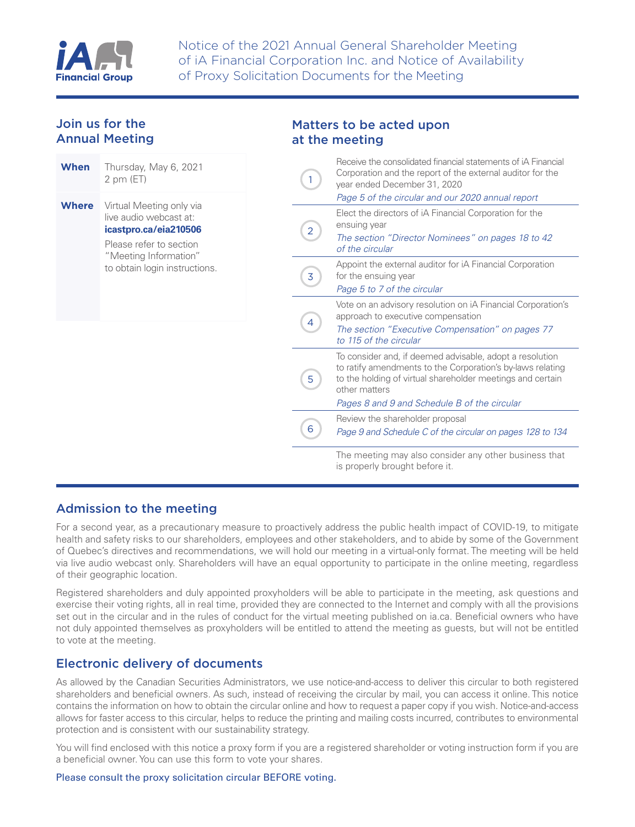

## Join us for the Annual Meeting

| When  | Thursday, May 6, 2021<br>2 pm (ET)                                                                                              |
|-------|---------------------------------------------------------------------------------------------------------------------------------|
| Where | Virtual Meeting only via<br>live audio webcast at:<br>icastpro.ca/eia210506<br>Please refer to section<br>"Meeting Information" |
|       | to obtain login instructions.                                                                                                   |
|       |                                                                                                                                 |
|       |                                                                                                                                 |

### Matters to be acted upon at the meeting

| 1 | Receive the consolidated financial statements of iA Financial<br>Corporation and the report of the external auditor for the<br>year ended December 31, 2020<br>Page 5 of the circular and our 2020 annual report                                      |
|---|-------------------------------------------------------------------------------------------------------------------------------------------------------------------------------------------------------------------------------------------------------|
| 2 | Elect the directors of iA Financial Corporation for the<br>ensuing year<br>The section "Director Nominees" on pages 18 to 42<br>of the circular                                                                                                       |
| 3 | Appoint the external auditor for iA Financial Corporation<br>for the ensuing year<br>Page 5 to 7 of the circular                                                                                                                                      |
| 4 | Vote on an advisory resolution on iA Financial Corporation's<br>approach to executive compensation<br>The section "Executive Compensation" on pages 77<br>to 115 of the circular                                                                      |
| 5 | To consider and, if deemed advisable, adopt a resolution<br>to ratify amendments to the Corporation's by-laws relating<br>to the holding of virtual shareholder meetings and certain<br>other matters<br>Pages 8 and 9 and Schedule B of the circular |
| 6 | Review the shareholder proposal<br>Page 9 and Schedule C of the circular on pages 128 to 134                                                                                                                                                          |
|   | The meeting may also consider any other business that<br>is properly brought before it.                                                                                                                                                               |

# Admission to the meeting

For a second year, as a precautionary measure to proactively address the public health impact of COVID-19, to mitigate health and safety risks to our shareholders, employees and other stakeholders, and to abide by some of the Government of Quebec's directives and recommendations, we will hold our meeting in a virtual-only format. The meeting will be held via live audio webcast only. Shareholders will have an equal opportunity to participate in the online meeting, regardless of their geographic location.

Registered shareholders and duly appointed proxyholders will be able to participate in the meeting, ask questions and exercise their voting rights, all in real time, provided they are connected to the Internet and comply with all the provisions set out in the circular and in the rules of conduct for the virtual meeting published o[n ia.ca.](http://www.ia.ca) Beneficial owners who have not duly appointed themselves as proxyholders will be entitled to attend the meeting as guests, but will not be entitled to vote at the meeting.

# Electronic delivery of documents

As allowed by the Canadian Securities Administrators, we use notice-and-access to deliver this circular to both registered shareholders and beneficial owners. As such, instead of receiving the circular by mail, you can access it online. This notice contains the information on how to obtain the circular online and how to request a paper copy if you wish. Notice-and-access allows for faster access to this circular, helps to reduce the printing and mailing costs incurred, contributes to environmental protection and is consistent with our sustainability strategy.

You will find enclosed with this notice a proxy form if you are a registered shareholder or voting instruction form if you are a beneficial owner. You can use this form to vote your shares.

### Please consult the proxy solicitation circular BEFORE voting.